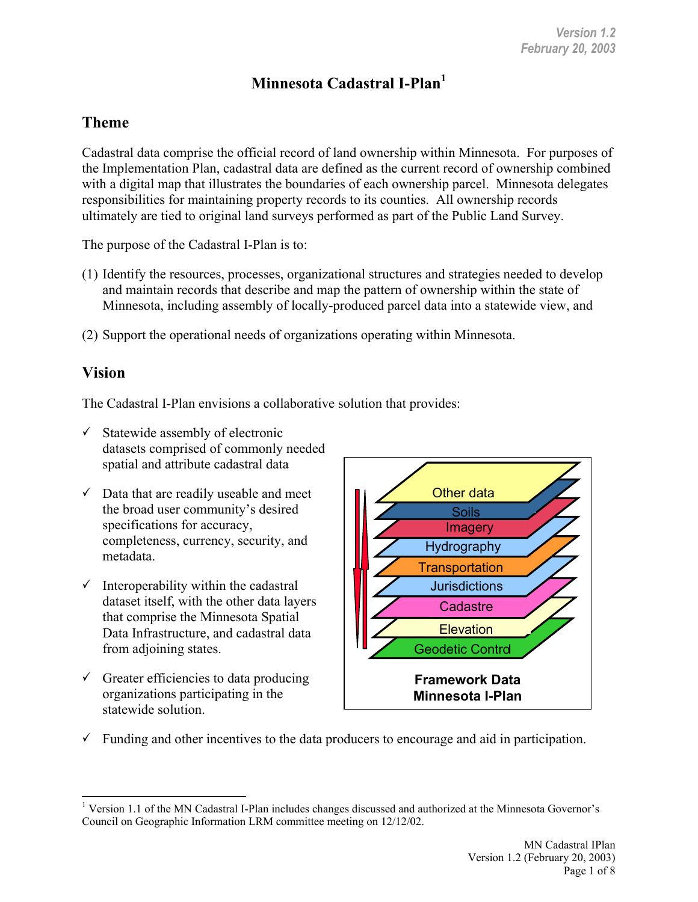# **Minnesota Cadastral I-Plan1**

### **Theme**

Cadastral data comprise the official record of land ownership within Minnesota. For purposes of the Implementation Plan, cadastral data are defined as the current record of ownership combined with a digital map that illustrates the boundaries of each ownership parcel. Minnesota delegates responsibilities for maintaining property records to its counties. All ownership records ultimately are tied to original land surveys performed as part of the Public Land Survey.

The purpose of the Cadastral I-Plan is to:

- (1) Identify the resources, processes, organizational structures and strategies needed to develop and maintain records that describe and map the pattern of ownership within the state of Minnesota, including assembly of locally-produced parcel data into a statewide view, and
- (2) Support the operational needs of organizations operating within Minnesota.

#### **Vision**

The Cadastral I-Plan envisions a collaborative solution that provides:

- $\checkmark$  Statewide assembly of electronic datasets comprised of commonly needed spatial and attribute cadastral data
- $\checkmark$  Data that are readily useable and meet the broad user community's desired specifications for accuracy, completeness, currency, security, and metadata.
- $\checkmark$  Interoperability within the cadastral dataset itself, with the other data layers that comprise the Minnesota Spatial Data Infrastructure, and cadastral data from adjoining states.
- $\checkmark$  Greater efficiencies to data producing organizations participating in the statewide solution.



 $\checkmark$  Funding and other incentives to the data producers to encourage and aid in participation.

 $\overline{a}$ <sup>1</sup> Version 1.1 of the MN Cadastral I-Plan includes changes discussed and authorized at the Minnesota Governor's Council on Geographic Information LRM committee meeting on 12/12/02.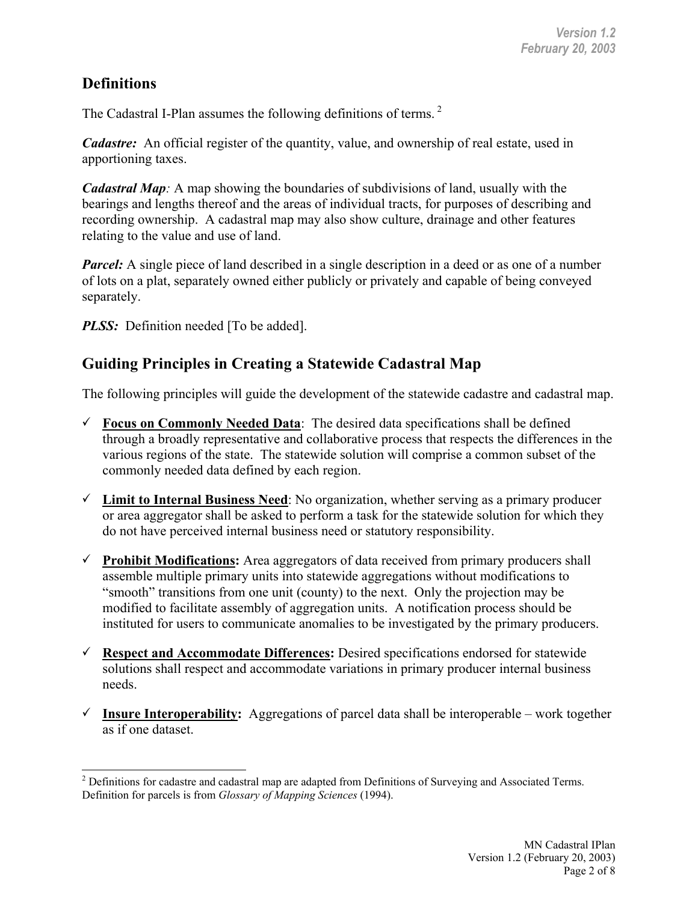# **Definitions**

The Cadastral I-Plan assumes the following definitions of terms.<sup>2</sup>

*Cadastre:* An official register of the quantity, value, and ownership of real estate, used in apportioning taxes.

*Cadastral Map:* A map showing the boundaries of subdivisions of land, usually with the bearings and lengths thereof and the areas of individual tracts, for purposes of describing and recording ownership. A cadastral map may also show culture, drainage and other features relating to the value and use of land.

*Parcel:* A single piece of land described in a single description in a deed or as one of a number of lots on a plat, separately owned either publicly or privately and capable of being conveyed separately.

*PLSS:* Definition needed [To be added].

### **Guiding Principles in Creating a Statewide Cadastral Map**

The following principles will guide the development of the statewide cadastre and cadastral map.

- $\checkmark$  **Focus on Commonly Needed Data**: The desired data specifications shall be defined through a broadly representative and collaborative process that respects the differences in the various regions of the state. The statewide solution will comprise a common subset of the commonly needed data defined by each region.
- $\checkmark$  Limit to Internal Business Need: No organization, whether serving as a primary producer or area aggregator shall be asked to perform a task for the statewide solution for which they do not have perceived internal business need or statutory responsibility.
- 9 **Prohibit Modifications:** Area aggregators of data received from primary producers shall assemble multiple primary units into statewide aggregations without modifications to "smooth" transitions from one unit (county) to the next. Only the projection may be modified to facilitate assembly of aggregation units. A notification process should be instituted for users to communicate anomalies to be investigated by the primary producers.
- 9 **Respect and Accommodate Differences:** Desired specifications endorsed for statewide solutions shall respect and accommodate variations in primary producer internal business needs.
- $\checkmark$  **Insure Interoperability:** Aggregations of parcel data shall be interoperable work together as if one dataset.

 $\overline{a}$  $2$  Definitions for cadastre and cadastral map are adapted from Definitions of Surveying and Associated Terms. Definition for parcels is from *Glossary of Mapping Sciences* (1994).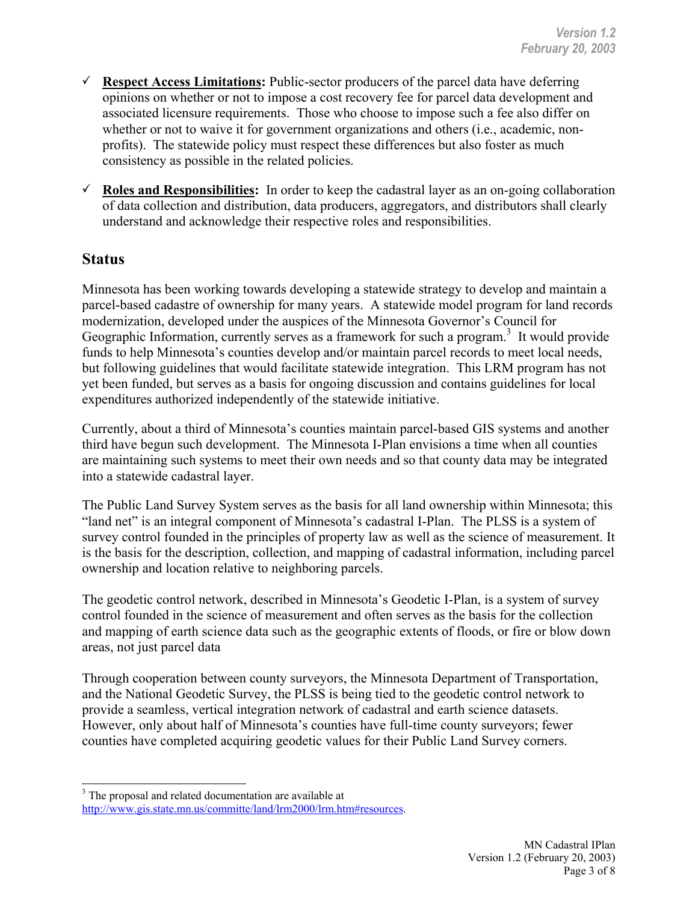- $\checkmark$  **Respect Access Limitations:** Public-sector producers of the parcel data have deferring opinions on whether or not to impose a cost recovery fee for parcel data development and associated licensure requirements. Those who choose to impose such a fee also differ on whether or not to waive it for government organizations and others (i.e., academic, nonprofits). The statewide policy must respect these differences but also foster as much consistency as possible in the related policies.
- $\checkmark$  **Roles and Responsibilities:** In order to keep the cadastral layer as an on-going collaboration of data collection and distribution, data producers, aggregators, and distributors shall clearly understand and acknowledge their respective roles and responsibilities.

#### **Status**

 $\overline{a}$ 

Minnesota has been working towards developing a statewide strategy to develop and maintain a parcel-based cadastre of ownership for many years. A statewide model program for land records modernization, developed under the auspices of the Minnesota Governor's Council for Geographic Information, currently serves as a framework for such a program. $3$  It would provide funds to help Minnesota's counties develop and/or maintain parcel records to meet local needs, but following guidelines that would facilitate statewide integration. This LRM program has not yet been funded, but serves as a basis for ongoing discussion and contains guidelines for local expenditures authorized independently of the statewide initiative.

Currently, about a third of Minnesota's counties maintain parcel-based GIS systems and another third have begun such development. The Minnesota I-Plan envisions a time when all counties are maintaining such systems to meet their own needs and so that county data may be integrated into a statewide cadastral layer.

The Public Land Survey System serves as the basis for all land ownership within Minnesota; this "land net" is an integral component of Minnesota's cadastral I-Plan. The PLSS is a system of survey control founded in the principles of property law as well as the science of measurement. It is the basis for the description, collection, and mapping of cadastral information, including parcel ownership and location relative to neighboring parcels.

The geodetic control network, described in Minnesota's Geodetic I-Plan, is a system of survey control founded in the science of measurement and often serves as the basis for the collection and mapping of earth science data such as the geographic extents of floods, or fire or blow down areas, not just parcel data

Through cooperation between county surveyors, the Minnesota Department of Transportation, and the National Geodetic Survey, the PLSS is being tied to the geodetic control network to provide a seamless, vertical integration network of cadastral and earth science datasets. However, only about half of Minnesota's counties have full-time county surveyors; fewer counties have completed acquiring geodetic values for their Public Land Survey corners.

<sup>&</sup>lt;sup>3</sup> The proposal and related documentation are available at http://www.gis.state.mn.us/committe/land/lrm2000/lrm.htm#resources.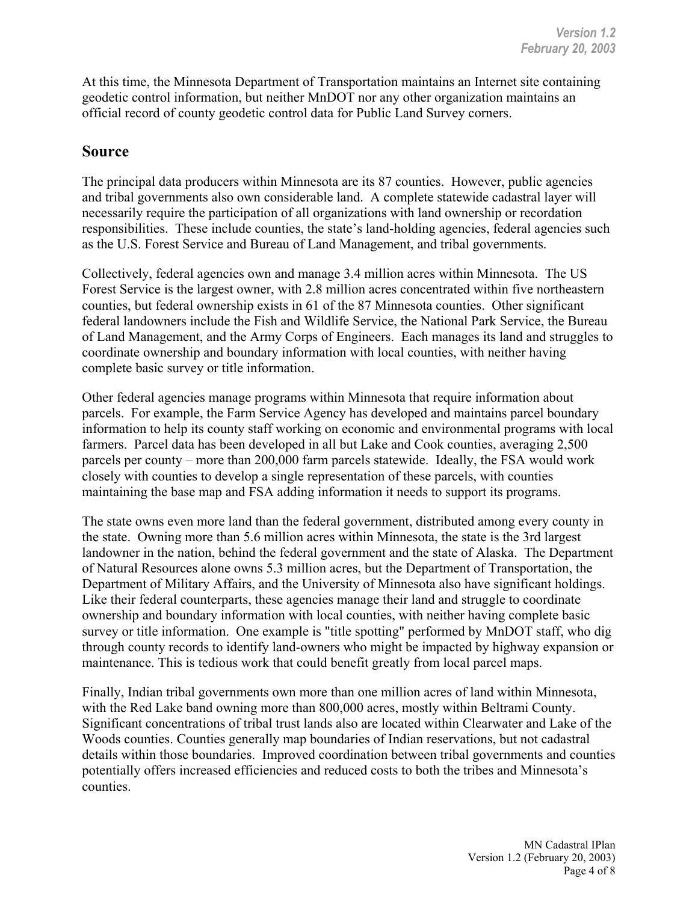At this time, the Minnesota Department of Transportation maintains an Internet site containing geodetic control information, but neither MnDOT nor any other organization maintains an official record of county geodetic control data for Public Land Survey corners.

#### **Source**

The principal data producers within Minnesota are its 87 counties. However, public agencies and tribal governments also own considerable land. A complete statewide cadastral layer will necessarily require the participation of all organizations with land ownership or recordation responsibilities. These include counties, the state's land-holding agencies, federal agencies such as the U.S. Forest Service and Bureau of Land Management, and tribal governments.

Collectively, federal agencies own and manage 3.4 million acres within Minnesota. The US Forest Service is the largest owner, with 2.8 million acres concentrated within five northeastern counties, but federal ownership exists in 61 of the 87 Minnesota counties. Other significant federal landowners include the Fish and Wildlife Service, the National Park Service, the Bureau of Land Management, and the Army Corps of Engineers. Each manages its land and struggles to coordinate ownership and boundary information with local counties, with neither having complete basic survey or title information.

Other federal agencies manage programs within Minnesota that require information about parcels. For example, the Farm Service Agency has developed and maintains parcel boundary information to help its county staff working on economic and environmental programs with local farmers. Parcel data has been developed in all but Lake and Cook counties, averaging 2,500 parcels per county – more than 200,000 farm parcels statewide. Ideally, the FSA would work closely with counties to develop a single representation of these parcels, with counties maintaining the base map and FSA adding information it needs to support its programs.

The state owns even more land than the federal government, distributed among every county in the state. Owning more than 5.6 million acres within Minnesota, the state is the 3rd largest landowner in the nation, behind the federal government and the state of Alaska. The Department of Natural Resources alone owns 5.3 million acres, but the Department of Transportation, the Department of Military Affairs, and the University of Minnesota also have significant holdings. Like their federal counterparts, these agencies manage their land and struggle to coordinate ownership and boundary information with local counties, with neither having complete basic survey or title information. One example is "title spotting" performed by MnDOT staff, who dig through county records to identify land-owners who might be impacted by highway expansion or maintenance. This is tedious work that could benefit greatly from local parcel maps.

Finally, Indian tribal governments own more than one million acres of land within Minnesota, with the Red Lake band owning more than 800,000 acres, mostly within Beltrami County. Significant concentrations of tribal trust lands also are located within Clearwater and Lake of the Woods counties. Counties generally map boundaries of Indian reservations, but not cadastral details within those boundaries. Improved coordination between tribal governments and counties potentially offers increased efficiencies and reduced costs to both the tribes and Minnesota's counties.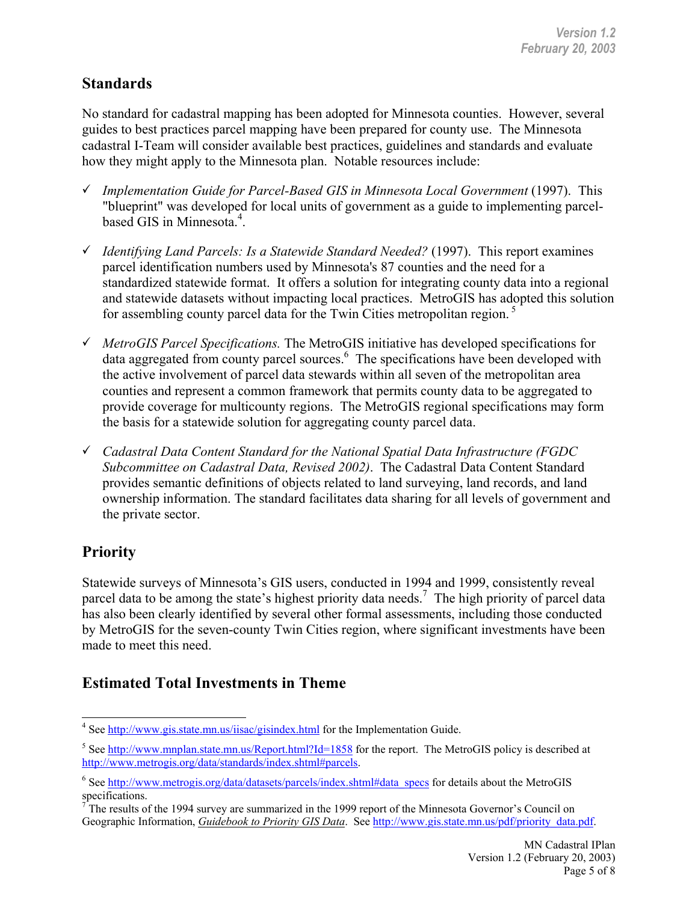## **Standards**

No standard for cadastral mapping has been adopted for Minnesota counties. However, several guides to best practices parcel mapping have been prepared for county use. The Minnesota cadastral I-Team will consider available best practices, guidelines and standards and evaluate how they might apply to the Minnesota plan. Notable resources include:

- 9 *Implementation Guide for Parcel-Based GIS in Minnesota Local Government* (1997). This "blueprint" was developed for local units of government as a guide to implementing parcelbased GIS in Minnesota.<sup>4</sup>.
- 9 *Identifying Land Parcels: Is a Statewide Standard Needed?* (1997). This report examines parcel identification numbers used by Minnesota's 87 counties and the need for a standardized statewide format. It offers a solution for integrating county data into a regional and statewide datasets without impacting local practices. MetroGIS has adopted this solution for assembling county parcel data for the Twin Cities metropolitan region.<sup>5</sup>
- 9 *MetroGIS Parcel Specifications.* The MetroGIS initiative has developed specifications for data aggregated from county parcel sources. $\frac{6}{5}$  The specifications have been developed with the active involvement of parcel data stewards within all seven of the metropolitan area counties and represent a common framework that permits county data to be aggregated to provide coverage for multicounty regions. The MetroGIS regional specifications may form the basis for a statewide solution for aggregating county parcel data.
- 9 *Cadastral Data Content Standard for the National Spatial Data Infrastructure (FGDC Subcommittee on Cadastral Data, Revised 2002)*. The Cadastral Data Content Standard provides semantic definitions of objects related to land surveying, land records, and land ownership information. The standard facilitates data sharing for all levels of government and the private sector.

# **Priority**

Statewide surveys of Minnesota's GIS users, conducted in 1994 and 1999, consistently reveal parcel data to be among the state's highest priority data needs.<sup>7</sup> The high priority of parcel data has also been clearly identified by several other formal assessments, including those conducted by MetroGIS for the seven-county Twin Cities region, where significant investments have been made to meet this need.

# **Estimated Total Investments in Theme**

<sup>&</sup>lt;sup>4</sup> See http://www.gis.state.mn.us/iisac/gisindex.html for the Implementation Guide.

<sup>&</sup>lt;sup>5</sup> See http://www.mnplan.state.mn.us/Report.html?Id=1858 for the report. The MetroGIS policy is described at http://www.metrogis.org/data/standards/index.shtml#parcels.

<sup>&</sup>lt;sup>6</sup> See http://www.metrogis.org/data/datasets/parcels/index.shtml#data\_specs for details about the MetroGIS specifications.

 $7$  The results of the 1994 survey are summarized in the 1999 report of the Minnesota Governor's Council on Geographic Information, *Guidebook to Priority GIS Data*. See http://www.gis.state.mn.us/pdf/priority\_data.pdf.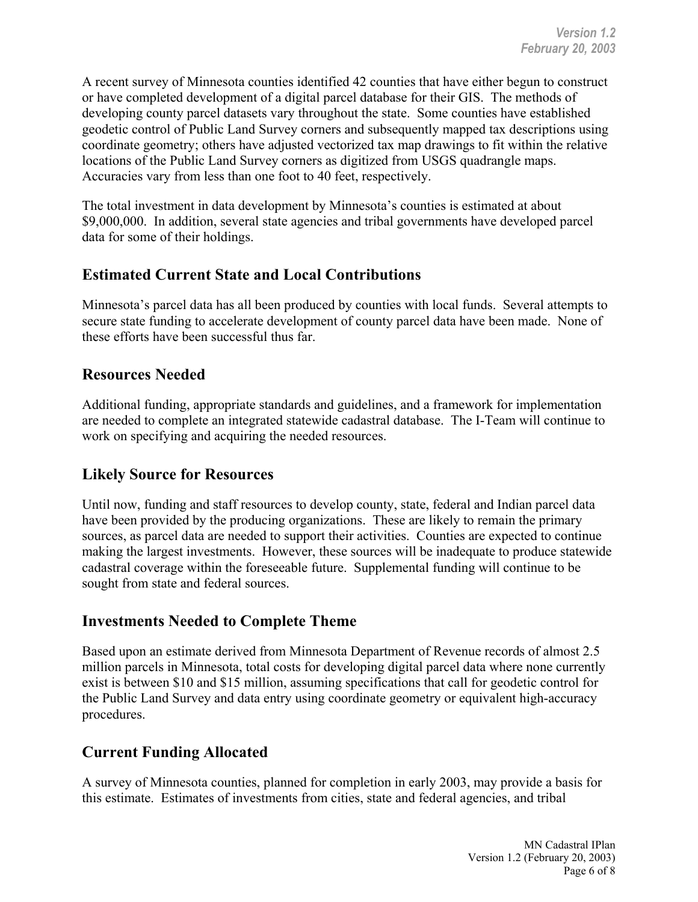A recent survey of Minnesota counties identified 42 counties that have either begun to construct or have completed development of a digital parcel database for their GIS. The methods of developing county parcel datasets vary throughout the state. Some counties have established geodetic control of Public Land Survey corners and subsequently mapped tax descriptions using coordinate geometry; others have adjusted vectorized tax map drawings to fit within the relative locations of the Public Land Survey corners as digitized from USGS quadrangle maps. Accuracies vary from less than one foot to 40 feet, respectively.

The total investment in data development by Minnesota's counties is estimated at about \$9,000,000. In addition, several state agencies and tribal governments have developed parcel data for some of their holdings.

## **Estimated Current State and Local Contributions**

Minnesota's parcel data has all been produced by counties with local funds. Several attempts to secure state funding to accelerate development of county parcel data have been made. None of these efforts have been successful thus far.

### **Resources Needed**

Additional funding, appropriate standards and guidelines, and a framework for implementation are needed to complete an integrated statewide cadastral database. The I-Team will continue to work on specifying and acquiring the needed resources.

## **Likely Source for Resources**

Until now, funding and staff resources to develop county, state, federal and Indian parcel data have been provided by the producing organizations. These are likely to remain the primary sources, as parcel data are needed to support their activities. Counties are expected to continue making the largest investments. However, these sources will be inadequate to produce statewide cadastral coverage within the foreseeable future. Supplemental funding will continue to be sought from state and federal sources.

### **Investments Needed to Complete Theme**

Based upon an estimate derived from Minnesota Department of Revenue records of almost 2.5 million parcels in Minnesota, total costs for developing digital parcel data where none currently exist is between \$10 and \$15 million, assuming specifications that call for geodetic control for the Public Land Survey and data entry using coordinate geometry or equivalent high-accuracy procedures.

### **Current Funding Allocated**

A survey of Minnesota counties, planned for completion in early 2003, may provide a basis for this estimate. Estimates of investments from cities, state and federal agencies, and tribal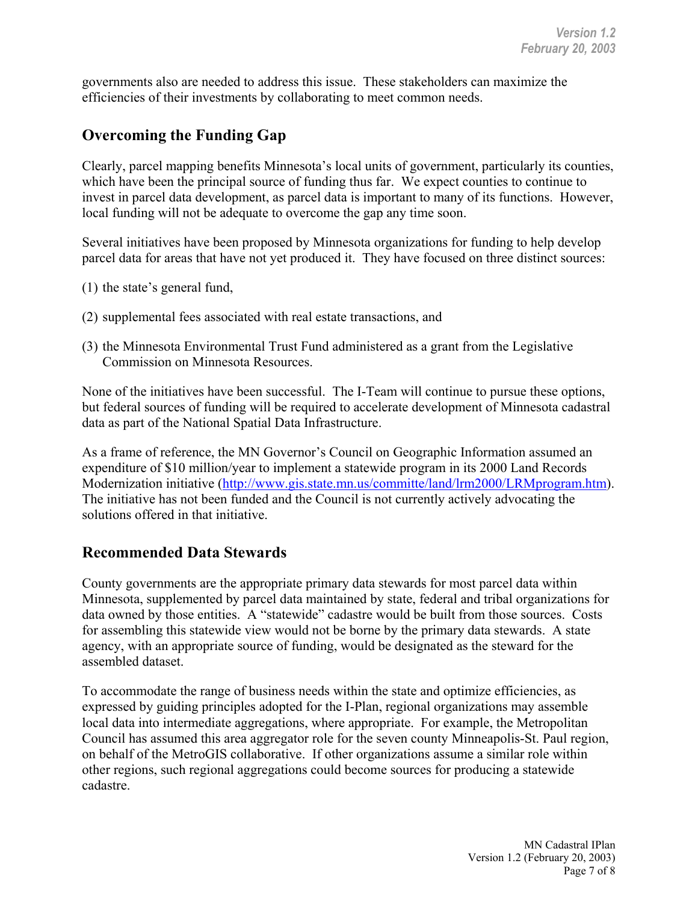governments also are needed to address this issue. These stakeholders can maximize the efficiencies of their investments by collaborating to meet common needs.

## **Overcoming the Funding Gap**

Clearly, parcel mapping benefits Minnesota's local units of government, particularly its counties, which have been the principal source of funding thus far. We expect counties to continue to invest in parcel data development, as parcel data is important to many of its functions. However, local funding will not be adequate to overcome the gap any time soon.

Several initiatives have been proposed by Minnesota organizations for funding to help develop parcel data for areas that have not yet produced it. They have focused on three distinct sources:

- (1) the state's general fund,
- (2) supplemental fees associated with real estate transactions, and
- (3) the Minnesota Environmental Trust Fund administered as a grant from the Legislative Commission on Minnesota Resources.

None of the initiatives have been successful. The I-Team will continue to pursue these options, but federal sources of funding will be required to accelerate development of Minnesota cadastral data as part of the National Spatial Data Infrastructure.

As a frame of reference, the MN Governor's Council on Geographic Information assumed an expenditure of \$10 million/year to implement a statewide program in its 2000 Land Records Modernization initiative (http://www.gis.state.mn.us/committe/land/lrm2000/LRMprogram.htm). The initiative has not been funded and the Council is not currently actively advocating the solutions offered in that initiative.

#### **Recommended Data Stewards**

County governments are the appropriate primary data stewards for most parcel data within Minnesota, supplemented by parcel data maintained by state, federal and tribal organizations for data owned by those entities. A "statewide" cadastre would be built from those sources. Costs for assembling this statewide view would not be borne by the primary data stewards. A state agency, with an appropriate source of funding, would be designated as the steward for the assembled dataset.

To accommodate the range of business needs within the state and optimize efficiencies, as expressed by guiding principles adopted for the I-Plan, regional organizations may assemble local data into intermediate aggregations, where appropriate. For example, the Metropolitan Council has assumed this area aggregator role for the seven county Minneapolis-St. Paul region, on behalf of the MetroGIS collaborative. If other organizations assume a similar role within other regions, such regional aggregations could become sources for producing a statewide cadastre.